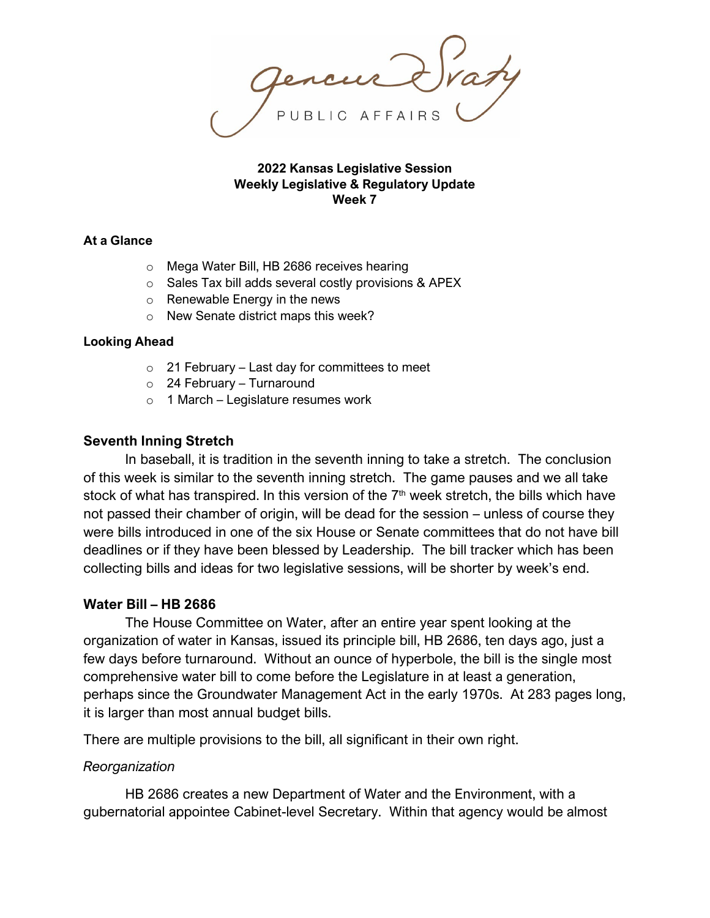**2022 Kansas Legislative Session Weekly Legislative & Regulatory Update Week 7**

### **At a Glance**

- o Mega Water Bill, HB 2686 receives hearing
- o Sales Tax bill adds several costly provisions & APEX
- o Renewable Energy in the news
- o New Senate district maps this week?

#### **Looking Ahead**

- $\circ$  21 February Last day for committees to meet
- $\circ$  24 February Turnaround
- $\circ$  1 March Legislature resumes work

### **Seventh Inning Stretch**

In baseball, it is tradition in the seventh inning to take a stretch. The conclusion of this week is similar to the seventh inning stretch. The game pauses and we all take stock of what has transpired. In this version of the  $7<sup>th</sup>$  week stretch, the bills which have not passed their chamber of origin, will be dead for the session – unless of course they were bills introduced in one of the six House or Senate committees that do not have bill deadlines or if they have been blessed by Leadership. The bill tracker which has been collecting bills and ideas for two legislative sessions, will be shorter by week's end.

### **Water Bill – HB 2686**

The House Committee on Water, after an entire year spent looking at the organization of water in Kansas, issued its principle bill, HB 2686, ten days ago, just a few days before turnaround. Without an ounce of hyperbole, the bill is the single most comprehensive water bill to come before the Legislature in at least a generation, perhaps since the Groundwater Management Act in the early 1970s. At 283 pages long, it is larger than most annual budget bills.

There are multiple provisions to the bill, all significant in their own right.

### *Reorganization*

HB 2686 creates a new Department of Water and the Environment, with a gubernatorial appointee Cabinet-level Secretary. Within that agency would be almost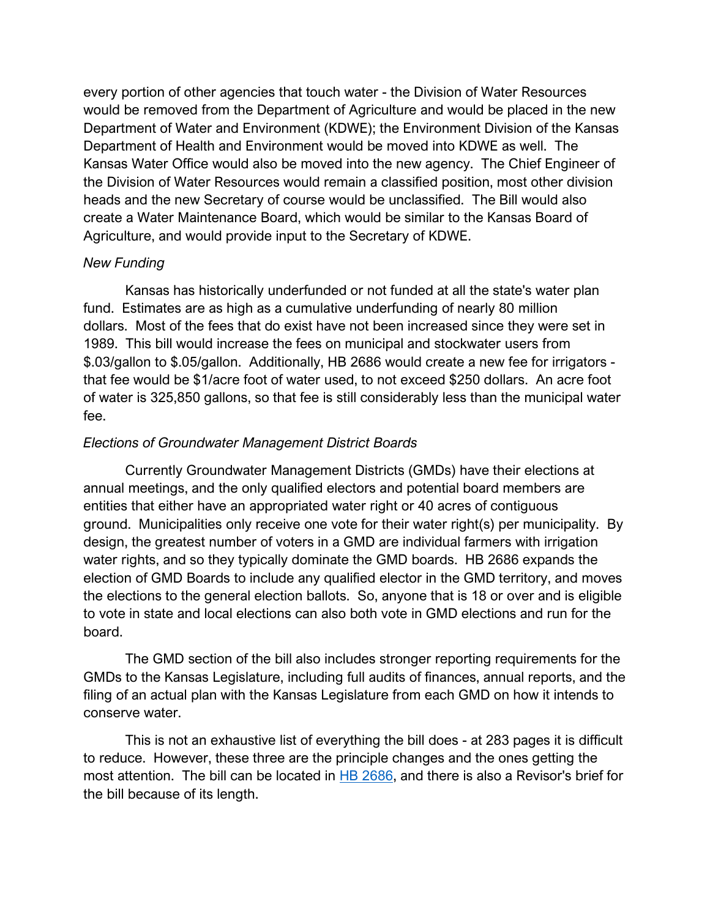every portion of other agencies that touch water - the Division of Water Resources would be removed from the Department of Agriculture and would be placed in the new Department of Water and Environment (KDWE); the Environment Division of the Kansas Department of Health and Environment would be moved into KDWE as well. The Kansas Water Office would also be moved into the new agency. The Chief Engineer of the Division of Water Resources would remain a classified position, most other division heads and the new Secretary of course would be unclassified. The Bill would also create a Water Maintenance Board, which would be similar to the Kansas Board of Agriculture, and would provide input to the Secretary of KDWE.

## *New Funding*

Kansas has historically underfunded or not funded at all the state's water plan fund. Estimates are as high as a cumulative underfunding of nearly 80 million dollars. Most of the fees that do exist have not been increased since they were set in 1989. This bill would increase the fees on municipal and stockwater users from \$.03/gallon to \$.05/gallon. Additionally, HB 2686 would create a new fee for irrigators that fee would be \$1/acre foot of water used, to not exceed \$250 dollars. An acre foot of water is 325,850 gallons, so that fee is still considerably less than the municipal water fee.

## *Elections of Groundwater Management District Boards*

Currently Groundwater Management Districts (GMDs) have their elections at annual meetings, and the only qualified electors and potential board members are entities that either have an appropriated water right or 40 acres of contiguous ground. Municipalities only receive one vote for their water right(s) per municipality. By design, the greatest number of voters in a GMD are individual farmers with irrigation water rights, and so they typically dominate the GMD boards. HB 2686 expands the election of GMD Boards to include any qualified elector in the GMD territory, and moves the elections to the general election ballots. So, anyone that is 18 or over and is eligible to vote in state and local elections can also both vote in GMD elections and run for the board.

The GMD section of the bill also includes stronger reporting requirements for the GMDs to the Kansas Legislature, including full audits of finances, annual reports, and the filing of an actual plan with the Kansas Legislature from each GMD on how it intends to conserve water.

This is not an exhaustive list of everything the bill does - at 283 pages it is difficult to reduce. However, these three are the principle changes and the ones getting the most attention. The bill can be located in [HB 2686,](http://kslegislature.org/li/b2021_22/measures/documents/hb2686_00_0000.pdf) and there is also a Revisor's brief for the bill because of its length.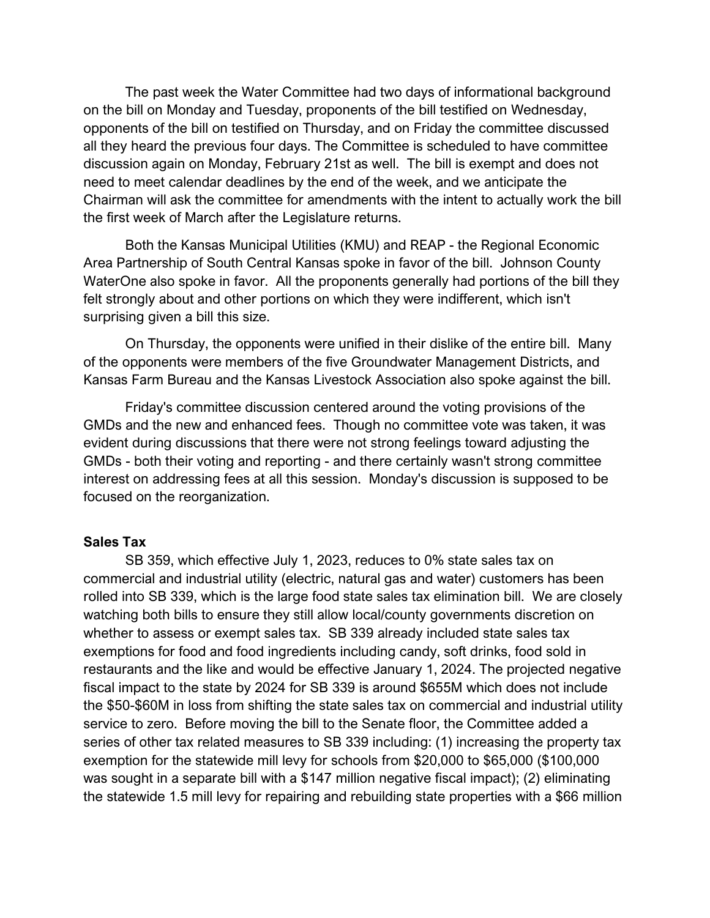The past week the Water Committee had two days of informational background on the bill on Monday and Tuesday, proponents of the bill testified on Wednesday, opponents of the bill on testified on Thursday, and on Friday the committee discussed all they heard the previous four days. The Committee is scheduled to have committee discussion again on Monday, February 21st as well. The bill is exempt and does not need to meet calendar deadlines by the end of the week, and we anticipate the Chairman will ask the committee for amendments with the intent to actually work the bill the first week of March after the Legislature returns.

Both the Kansas Municipal Utilities (KMU) and REAP - the Regional Economic Area Partnership of South Central Kansas spoke in favor of the bill. Johnson County WaterOne also spoke in favor. All the proponents generally had portions of the bill they felt strongly about and other portions on which they were indifferent, which isn't surprising given a bill this size.

On Thursday, the opponents were unified in their dislike of the entire bill. Many of the opponents were members of the five Groundwater Management Districts, and Kansas Farm Bureau and the Kansas Livestock Association also spoke against the bill.

Friday's committee discussion centered around the voting provisions of the GMDs and the new and enhanced fees. Though no committee vote was taken, it was evident during discussions that there were not strong feelings toward adjusting the GMDs - both their voting and reporting - and there certainly wasn't strong committee interest on addressing fees at all this session. Monday's discussion is supposed to be focused on the reorganization.

### **Sales Tax**

SB 359, which effective July 1, 2023, reduces to 0% state sales tax on commercial and industrial utility (electric, natural gas and water) customers has been rolled into SB 339, which is the large food state sales tax elimination bill. We are closely watching both bills to ensure they still allow local/county governments discretion on whether to assess or exempt sales tax. SB 339 already included state sales tax exemptions for food and food ingredients including candy, soft drinks, food sold in restaurants and the like and would be effective January 1, 2024. The projected negative fiscal impact to the state by 2024 for SB 339 is around \$655M which does not include the \$50-\$60M in loss from shifting the state sales tax on commercial and industrial utility service to zero. Before moving the bill to the Senate floor, the Committee added a series of other tax related measures to SB 339 including: (1) increasing the property tax exemption for the statewide mill levy for schools from \$20,000 to \$65,000 (\$100,000 was sought in a separate bill with a \$147 million negative fiscal impact); (2) eliminating the statewide 1.5 mill levy for repairing and rebuilding state properties with a \$66 million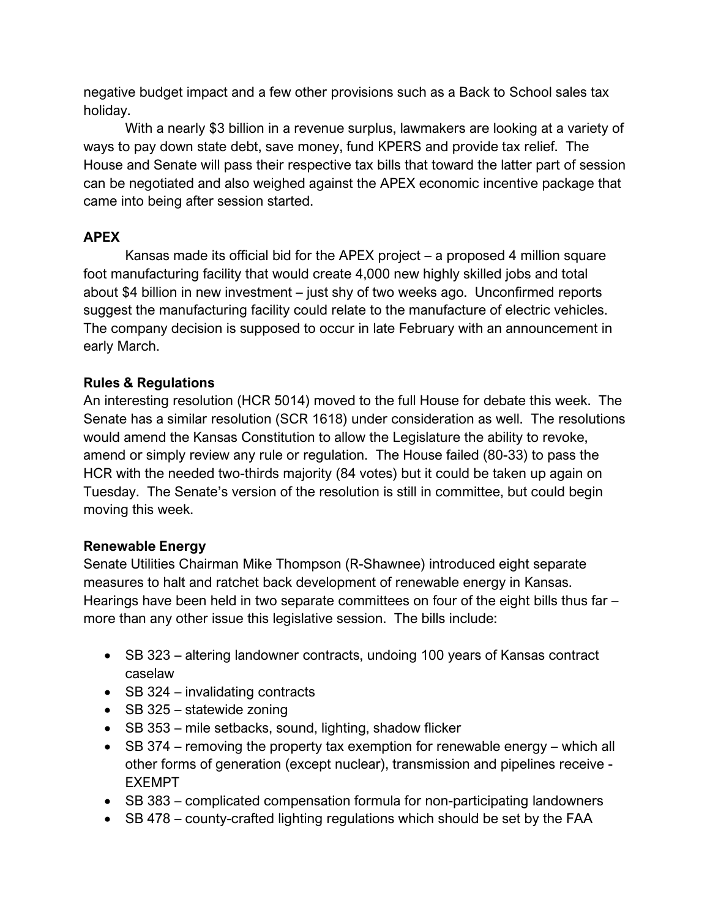negative budget impact and a few other provisions such as a Back to School sales tax holiday.

With a nearly \$3 billion in a revenue surplus, lawmakers are looking at a variety of ways to pay down state debt, save money, fund KPERS and provide tax relief. The House and Senate will pass their respective tax bills that toward the latter part of session can be negotiated and also weighed against the APEX economic incentive package that came into being after session started.

# **APEX**

Kansas made its official bid for the APEX project – a proposed 4 million square foot manufacturing facility that would create 4,000 new highly skilled jobs and total about \$4 billion in new investment – just shy of two weeks ago. Unconfirmed reports suggest the manufacturing facility could relate to the manufacture of electric vehicles. The company decision is supposed to occur in late February with an announcement in early March.

# **Rules & Regulations**

An interesting resolution (HCR 5014) moved to the full House for debate this week. The Senate has a similar resolution (SCR 1618) under consideration as well. The resolutions would amend the Kansas Constitution to allow the Legislature the ability to revoke, amend or simply review any rule or regulation. The House failed (80-33) to pass the HCR with the needed two-thirds majority (84 votes) but it could be taken up again on Tuesday. The Senate's version of the resolution is still in committee, but could begin moving this week.

# **Renewable Energy**

Senate Utilities Chairman Mike Thompson (R-Shawnee) introduced eight separate measures to halt and ratchet back development of renewable energy in Kansas. Hearings have been held in two separate committees on four of the eight bills thus far – more than any other issue this legislative session. The bills include:

- SB 323 altering landowner contracts, undoing 100 years of Kansas contract caselaw
- SB 324 invalidating contracts
- SB 325 statewide zoning
- SB 353 mile setbacks, sound, lighting, shadow flicker
- SB 374 removing the property tax exemption for renewable energy which all other forms of generation (except nuclear), transmission and pipelines receive - EXEMPT
- SB 383 complicated compensation formula for non-participating landowners
- SB 478 county-crafted lighting regulations which should be set by the FAA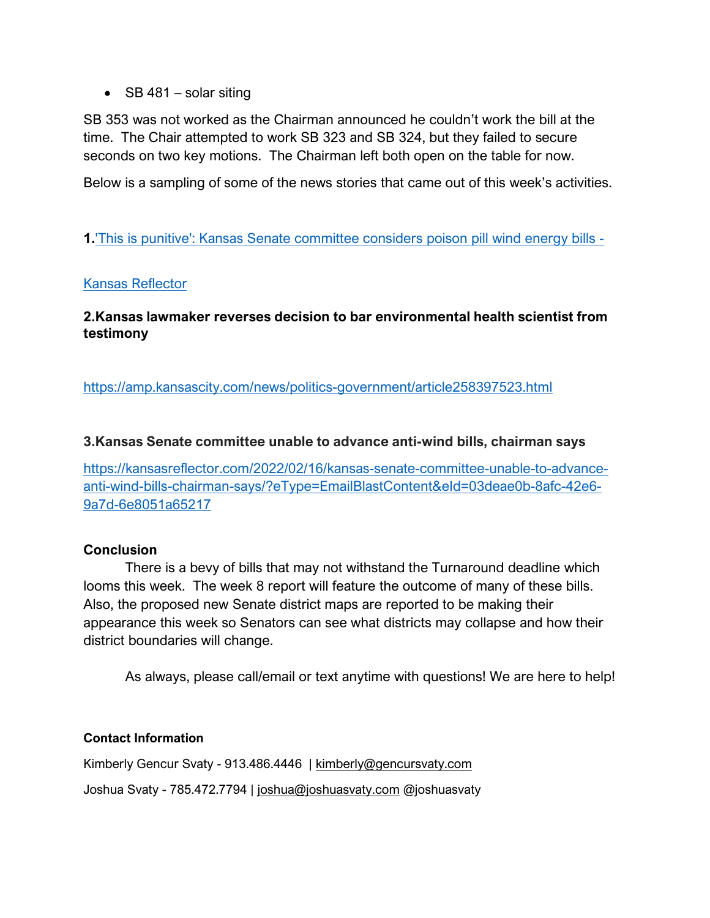• SB 481 – solar siting

SB 353 was not worked as the Chairman announced he couldn't work the bill at the time. The Chair attempted to work SB 323 and SB 324, but they failed to secure seconds on two key motions. The Chairman left both open on the table for now.

Below is a sampling of some of the news stories that came out of this week's activities.

# **1.**['This is punitive': Kansas Senate committee considers poison pill wind energy bills -](https://kansasreflector.com/2022/02/13/this-is-punitive-kansas-senate-committee-considers-poison-pill-wind-energy-bills/?eType=EmailBlastContent&eId=a258cace-7e1c-493b-b8e0-3b4f8dbe1846)

## [Kansas Reflector](https://kansasreflector.com/2022/02/13/this-is-punitive-kansas-senate-committee-considers-poison-pill-wind-energy-bills/?eType=EmailBlastContent&eId=a258cace-7e1c-493b-b8e0-3b4f8dbe1846)

# **2.Kansas lawmaker reverses decision to bar environmental health scientist from testimony**

<https://amp.kansascity.com/news/politics-government/article258397523.html>

## **3.Kansas Senate committee unable to advance anti-wind bills, chairman says**

[https://kansasreflector.com/2022/02/16/kansas-senate-committee-unable-to-advance](https://kansasreflector.com/2022/02/16/kansas-senate-committee-unable-to-advance-anti-wind-bills-chairman-says/?eType=EmailBlastContent&eId=03deae0b-8afc-42e6-9a7d-6e8051a65217)[anti-wind-bills-chairman-says/?eType=EmailBlastContent&eId=03deae0b-8afc-42e6-](https://kansasreflector.com/2022/02/16/kansas-senate-committee-unable-to-advance-anti-wind-bills-chairman-says/?eType=EmailBlastContent&eId=03deae0b-8afc-42e6-9a7d-6e8051a65217) [9a7d-6e8051a65217](https://kansasreflector.com/2022/02/16/kansas-senate-committee-unable-to-advance-anti-wind-bills-chairman-says/?eType=EmailBlastContent&eId=03deae0b-8afc-42e6-9a7d-6e8051a65217)

### **Conclusion**

There is a bevy of bills that may not withstand the Turnaround deadline which looms this week. The week 8 report will feature the outcome of many of these bills. Also, the proposed new Senate district maps are reported to be making their appearance this week so Senators can see what districts may collapse and how their district boundaries will change.

As always, please call/email or text anytime with questions! We are here to help!

### **Contact Information**

Kimberly Gencur Svaty - 913.486.4446 | [kimberly@gencursvaty.com](mailto:kimberly@gencursvaty.com)

Joshua Svaty - 785.472.7794 | [joshua@joshuasvaty.com](mailto:joshua@joshuasvaty.com) @joshuasvaty